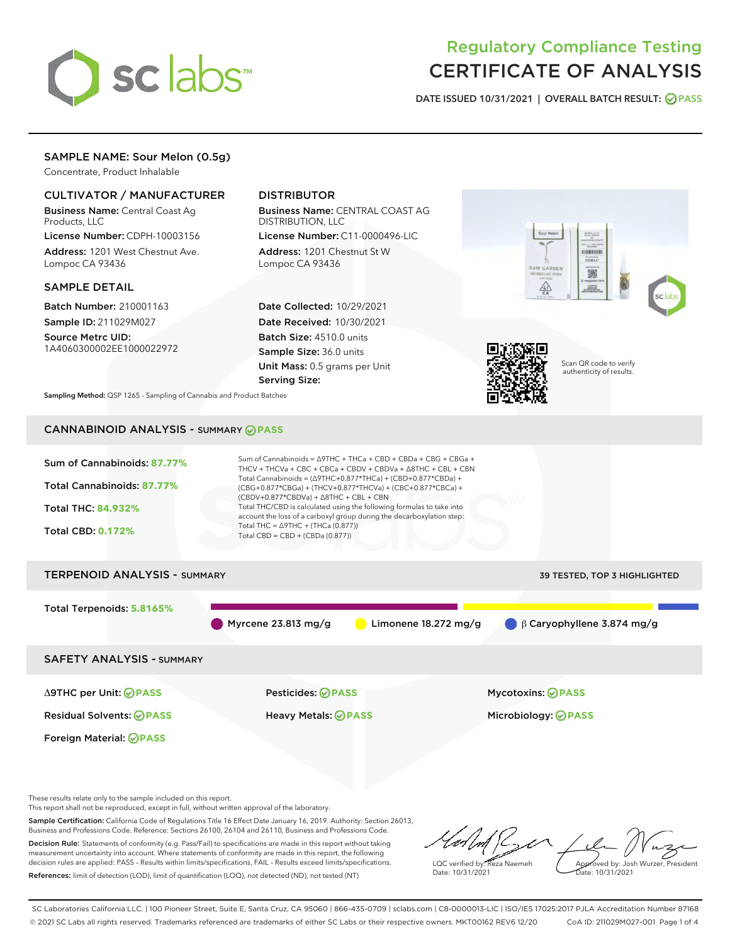

# Regulatory Compliance Testing CERTIFICATE OF ANALYSIS

DATE ISSUED 10/31/2021 | OVERALL BATCH RESULT: @ PASS

W GARDEN

 $\frac{\sqrt{2}}{50}$ 

## SAMPLE NAME: Sour Melon (0.5g)

Concentrate, Product Inhalable

## CULTIVATOR / MANUFACTURER

Business Name: Central Coast Ag Products, LLC

License Number: CDPH-10003156 Address: 1201 West Chestnut Ave. Lompoc CA 93436

## SAMPLE DETAIL

Batch Number: 210001163 Sample ID: 211029M027

Source Metrc UID: 1A4060300002EE1000022972

## DISTRIBUTOR

Business Name: CENTRAL COAST AG DISTRIBUTION, LLC License Number: C11-0000496-LIC

Address: 1201 Chestnut St W Lompoc CA 93436

Date Collected: 10/29/2021 Date Received: 10/30/2021 Batch Size: 4510.0 units Sample Size: 36.0 units Unit Mass: 0.5 grams per Unit Serving Size:



Scan QR code to verify authenticity of results.

Povered to

臟

Sampling Method: QSP 1265 - Sampling of Cannabis and Product Batches

# CANNABINOID ANALYSIS - SUMMARY **PASS**

| Sum of Cannabinoids: 87.77%<br>Total Cannabinoids: 87.77%<br><b>Total THC: 84.932%</b><br><b>Total CBD: 0.172%</b> | Sum of Cannabinoids = $\triangle$ 9THC + THCa + CBD + CBDa + CBG + CBGa +<br>THCV + THCVa + CBC + CBCa + CBDV + CBDVa + $\Delta$ 8THC + CBL + CBN<br>Total Cannabinoids = $(\Delta$ 9THC+0.877*THCa) + (CBD+0.877*CBDa) +<br>(CBG+0.877*CBGa) + (THCV+0.877*THCVa) + (CBC+0.877*CBCa) +<br>$(CBDV+0.877*CBDVa) + \Delta 8THC + CBL + CBN$<br>Total THC/CBD is calculated using the following formulas to take into<br>account the loss of a carboxyl group during the decarboxylation step:<br>Total THC = $\triangle$ 9THC + (THCa (0.877))<br>Total CBD = CBD + (CBDa (0.877)) |                                  |  |  |  |  |
|--------------------------------------------------------------------------------------------------------------------|----------------------------------------------------------------------------------------------------------------------------------------------------------------------------------------------------------------------------------------------------------------------------------------------------------------------------------------------------------------------------------------------------------------------------------------------------------------------------------------------------------------------------------------------------------------------------------|----------------------------------|--|--|--|--|
| <b>TERPENOID ANALYSIS - SUMMARY</b><br>39 TESTED, TOP 3 HIGHLIGHTED                                                |                                                                                                                                                                                                                                                                                                                                                                                                                                                                                                                                                                                  |                                  |  |  |  |  |
| Total Terpenoids: 5.8165%                                                                                          | Myrcene $23.813$ mg/g<br>Limonene $18.272$ mg/g                                                                                                                                                                                                                                                                                                                                                                                                                                                                                                                                  | $\beta$ Caryophyllene 3.874 mg/g |  |  |  |  |
| <b>SAFETY ANALYSIS - SUMMARY</b>                                                                                   |                                                                                                                                                                                                                                                                                                                                                                                                                                                                                                                                                                                  |                                  |  |  |  |  |
| ∆9THC per Unit: ⊘PASS                                                                                              | Pesticides: ⊘PASS                                                                                                                                                                                                                                                                                                                                                                                                                                                                                                                                                                | <b>Mycotoxins: ⊘PASS</b>         |  |  |  |  |
| <b>Residual Solvents: ⊘PASS</b>                                                                                    | Heavy Metals: <b>OPASS</b>                                                                                                                                                                                                                                                                                                                                                                                                                                                                                                                                                       | Microbiology: <b>OPASS</b>       |  |  |  |  |
| Foreign Material: <b>⊘ PASS</b>                                                                                    |                                                                                                                                                                                                                                                                                                                                                                                                                                                                                                                                                                                  |                                  |  |  |  |  |

These results relate only to the sample included on this report.

This report shall not be reproduced, except in full, without written approval of the laboratory.

Sample Certification: California Code of Regulations Title 16 Effect Date January 16, 2019. Authority: Section 26013, Business and Professions Code. Reference: Sections 26100, 26104 and 26110, Business and Professions Code. Decision Rule: Statements of conformity (e.g. Pass/Fail) to specifications are made in this report without taking

measurement uncertainty into account. Where statements of conformity are made in this report, the following decision rules are applied: PASS – Results within limits/specifications, FAIL – Results exceed limits/specifications. References: limit of detection (LOD), limit of quantification (LOQ), not detected (ND), not tested (NT)

LQC verified by: Reza Naemeh Date: 10/31/2021 Approved by: Josh Wurzer, President Date: 10/31/2021

SC Laboratories California LLC. | 100 Pioneer Street, Suite E, Santa Cruz, CA 95060 | 866-435-0709 | sclabs.com | C8-0000013-LIC | ISO/IES 17025:2017 PJLA Accreditation Number 87168 © 2021 SC Labs all rights reserved. Trademarks referenced are trademarks of either SC Labs or their respective owners. MKT00162 REV6 12/20 CoA ID: 211029M027-001 Page 1 of 4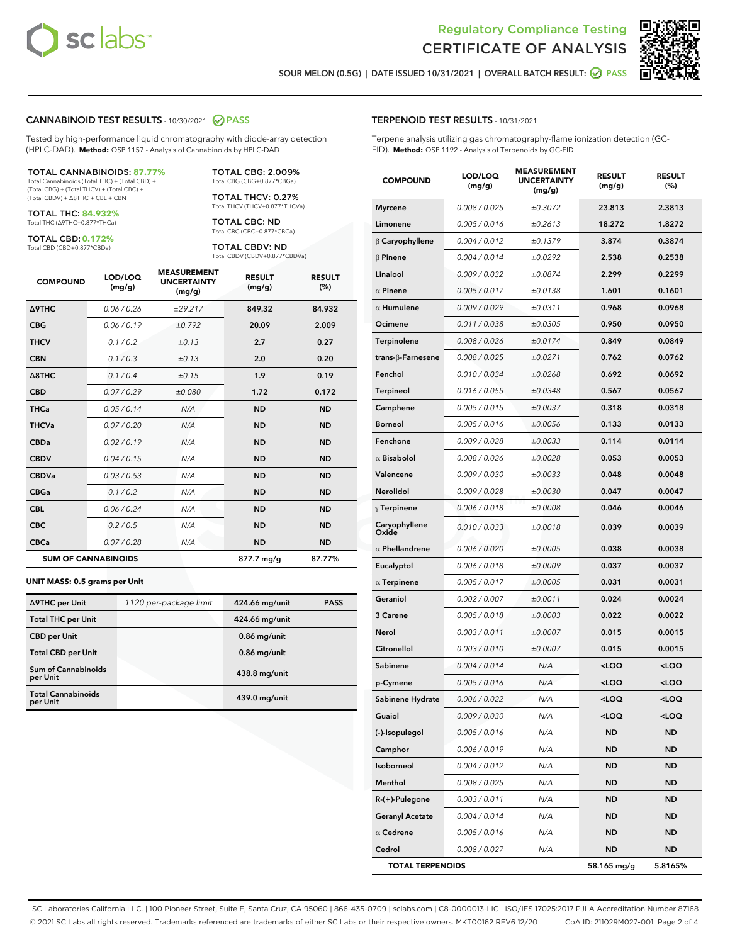



SOUR MELON (0.5G) | DATE ISSUED 10/31/2021 | OVERALL BATCH RESULT: @ PASS

### CANNABINOID TEST RESULTS - 10/30/2021 2 PASS

Tested by high-performance liquid chromatography with diode-array detection (HPLC-DAD). **Method:** QSP 1157 - Analysis of Cannabinoids by HPLC-DAD

#### TOTAL CANNABINOIDS: **87.77%**

Total Cannabinoids (Total THC) + (Total CBD) + (Total CBG) + (Total THCV) + (Total CBC) + (Total CBDV) + ∆8THC + CBL + CBN

TOTAL THC: **84.932%** Total THC (∆9THC+0.877\*THCa)

TOTAL CBD: **0.172%**

Total CBD (CBD+0.877\*CBDa)

TOTAL CBG: 2.009% Total CBG (CBG+0.877\*CBGa)

TOTAL THCV: 0.27% Total THCV (THCV+0.877\*THCVa)

TOTAL CBC: ND Total CBC (CBC+0.877\*CBCa)

TOTAL CBDV: ND Total CBDV (CBDV+0.877\*CBDVa)

| <b>COMPOUND</b>            | LOD/LOQ<br>(mg/g) | <b>MEASUREMENT</b><br><b>UNCERTAINTY</b><br>(mg/g) | <b>RESULT</b><br>(mg/g) | <b>RESULT</b><br>(%) |
|----------------------------|-------------------|----------------------------------------------------|-------------------------|----------------------|
| <b>A9THC</b>               | 0.06 / 0.26       | ±29.217                                            | 849.32                  | 84.932               |
| <b>CBG</b>                 | 0.06 / 0.19       | ±0.792                                             | 20.09                   | 2.009                |
| <b>THCV</b>                | 0.1 / 0.2         | ±0.13                                              | 2.7                     | 0.27                 |
| <b>CBN</b>                 | 0.1/0.3           | ±0.13                                              | 2.0                     | 0.20                 |
| $\triangle$ 8THC           | 0.1/0.4           | ±0.15                                              | 1.9                     | 0.19                 |
| <b>CBD</b>                 | 0.07/0.29         | ±0.080                                             | 1.72                    | 0.172                |
| <b>THCa</b>                | 0.05/0.14         | N/A                                                | <b>ND</b>               | <b>ND</b>            |
| <b>THCVa</b>               | 0.07/0.20         | N/A                                                | <b>ND</b>               | <b>ND</b>            |
| <b>CBDa</b>                | 0.02/0.19         | N/A                                                | <b>ND</b>               | <b>ND</b>            |
| <b>CBDV</b>                | 0.04 / 0.15       | N/A                                                | <b>ND</b>               | <b>ND</b>            |
| <b>CBDVa</b>               | 0.03/0.53         | N/A                                                | <b>ND</b>               | <b>ND</b>            |
| <b>CBGa</b>                | 0.1 / 0.2         | N/A                                                | <b>ND</b>               | <b>ND</b>            |
| <b>CBL</b>                 | 0.06 / 0.24       | N/A                                                | <b>ND</b>               | <b>ND</b>            |
| <b>CBC</b>                 | 0.2 / 0.5         | N/A                                                | <b>ND</b>               | <b>ND</b>            |
| <b>CBCa</b>                | 0.07/0.28         | N/A                                                | <b>ND</b>               | <b>ND</b>            |
| <b>SUM OF CANNABINOIDS</b> |                   |                                                    | 877.7 mg/g              | 87.77%               |

#### **UNIT MASS: 0.5 grams per Unit**

| ∆9THC per Unit                        | 1120 per-package limit | 424.66 mg/unit | <b>PASS</b> |
|---------------------------------------|------------------------|----------------|-------------|
| <b>Total THC per Unit</b>             |                        | 424.66 mg/unit |             |
| <b>CBD</b> per Unit                   |                        | $0.86$ mg/unit |             |
| <b>Total CBD per Unit</b>             |                        | $0.86$ mg/unit |             |
| Sum of Cannabinoids<br>per Unit       |                        | 438.8 mg/unit  |             |
| <b>Total Cannabinoids</b><br>per Unit |                        | 439.0 mg/unit  |             |

| <b>COMPOUND</b>         | LOD/LOQ<br>(mg/g) | <b>MEASUREMENT</b><br><b>UNCERTAINTY</b><br>(mg/g) | <b>RESULT</b><br>(mg/g)                         | <b>RESULT</b><br>$(\%)$ |
|-------------------------|-------------------|----------------------------------------------------|-------------------------------------------------|-------------------------|
| <b>Myrcene</b>          | 0.008 / 0.025     | ±0.3072                                            | 23.813                                          | 2.3813                  |
| Limonene                | 0.005 / 0.016     | ±0.2613                                            | 18.272                                          | 1.8272                  |
| $\beta$ Caryophyllene   | 0.004 / 0.012     | ±0.1379                                            | 3.874                                           | 0.3874                  |
| $\beta$ Pinene          | 0.004 / 0.014     | ±0.0292                                            | 2.538                                           | 0.2538                  |
| Linalool                | 0.009 / 0.032     | ±0.0874                                            | 2.299                                           | 0.2299                  |
| $\alpha$ Pinene         | 0.005 / 0.017     | ±0.0138                                            | 1.601                                           | 0.1601                  |
| $\alpha$ Humulene       | 0.009/0.029       | ±0.0311                                            | 0.968                                           | 0.0968                  |
| Ocimene                 | 0.011 / 0.038     | ±0.0305                                            | 0.950                                           | 0.0950                  |
| Terpinolene             | 0.008 / 0.026     | ±0.0174                                            | 0.849                                           | 0.0849                  |
| trans-β-Farnesene       | 0.008 / 0.025     | ±0.0271                                            | 0.762                                           | 0.0762                  |
| Fenchol                 | 0.010 / 0.034     | ±0.0268                                            | 0.692                                           | 0.0692                  |
| <b>Terpineol</b>        | 0.016 / 0.055     | ±0.0348                                            | 0.567                                           | 0.0567                  |
| Camphene                | 0.005 / 0.015     | ±0.0037                                            | 0.318                                           | 0.0318                  |
| <b>Borneol</b>          | 0.005 / 0.016     | ±0.0056                                            | 0.133                                           | 0.0133                  |
| Fenchone                | 0.009 / 0.028     | ±0.0033                                            | 0.114                                           | 0.0114                  |
| $\alpha$ Bisabolol      | 0.008 / 0.026     | ±0.0028                                            | 0.053                                           | 0.0053                  |
| Valencene               | 0.009 / 0.030     | ±0.0033                                            | 0.048                                           | 0.0048                  |
| <b>Nerolidol</b>        | 0.009 / 0.028     | ±0.0030                                            | 0.047                                           | 0.0047                  |
| $\gamma$ Terpinene      | 0.006 / 0.018     | ±0.0008                                            | 0.046                                           | 0.0046                  |
| Caryophyllene<br>Oxide  | 0.010 / 0.033     | ±0.0018                                            | 0.039                                           | 0.0039                  |
| $\alpha$ Phellandrene   | 0.006 / 0.020     | ±0.0005                                            | 0.038                                           | 0.0038                  |
| Eucalyptol              | 0.006 / 0.018     | ±0.0009                                            | 0.037                                           | 0.0037                  |
| $\alpha$ Terpinene      | 0.005 / 0.017     | ±0.0005                                            | 0.031                                           | 0.0031                  |
| Geraniol                | 0.002 / 0.007     | ±0.0011                                            | 0.024                                           | 0.0024                  |
| <b>3 Carene</b>         | 0.005 / 0.018     | ±0.0003                                            | 0.022                                           | 0.0022                  |
| Nerol                   | 0.003 / 0.011     | ±0.0007                                            | 0.015                                           | 0.0015                  |
| Citronellol             | 0.003/0.010       | ±0.0007                                            | 0.015                                           | 0.0015                  |
| Sabinene                | 0.004 / 0.014     | N/A                                                | <loq< th=""><th><loq< th=""></loq<></th></loq<> | <loq< th=""></loq<>     |
| p-Cymene                | 0.005 / 0.016     | N/A                                                | <loq< th=""><th><loq< th=""></loq<></th></loq<> | <loq< th=""></loq<>     |
| Sabinene Hydrate        | 0.006 / 0.022     | N/A                                                | <loq< th=""><th><loq< th=""></loq<></th></loq<> | <loq< th=""></loq<>     |
| Guaiol                  | 0.009 / 0.030     | N/A                                                | <loq< th=""><th><loq< th=""></loq<></th></loq<> | <loq< th=""></loq<>     |
| (-)-Isopulegol          | 0.005 / 0.016     | N/A                                                | ND                                              | ND                      |
| Camphor                 | 0.006 / 0.019     | N/A                                                | ND                                              | ND                      |
| Isoborneol              | 0.004 / 0.012     | N/A                                                | ND                                              | ND                      |
| Menthol                 | 0.008 / 0.025     | N/A                                                | ND                                              | ND                      |
| R-(+)-Pulegone          | 0.003 / 0.011     | N/A                                                | ND                                              | <b>ND</b>               |
| <b>Geranyl Acetate</b>  | 0.004 / 0.014     | N/A                                                | ND                                              | ND                      |
| $\alpha$ Cedrene        | 0.005 / 0.016     | N/A                                                | ND                                              | ND                      |
| Cedrol                  | 0.008 / 0.027     | N/A                                                | <b>ND</b>                                       | ND                      |
| <b>TOTAL TERPENOIDS</b> |                   |                                                    | 58.165 mg/g                                     | 5.8165%                 |

SC Laboratories California LLC. | 100 Pioneer Street, Suite E, Santa Cruz, CA 95060 | 866-435-0709 | sclabs.com | C8-0000013-LIC | ISO/IES 17025:2017 PJLA Accreditation Number 87168 © 2021 SC Labs all rights reserved. Trademarks referenced are trademarks of either SC Labs or their respective owners. MKT00162 REV6 12/20 CoA ID: 211029M027-001 Page 2 of 4

## TERPENOID TEST RESULTS - 10/31/2021

Terpene analysis utilizing gas chromatography-flame ionization detection (GC-FID). **Method:** QSP 1192 - Analysis of Terpenoids by GC-FID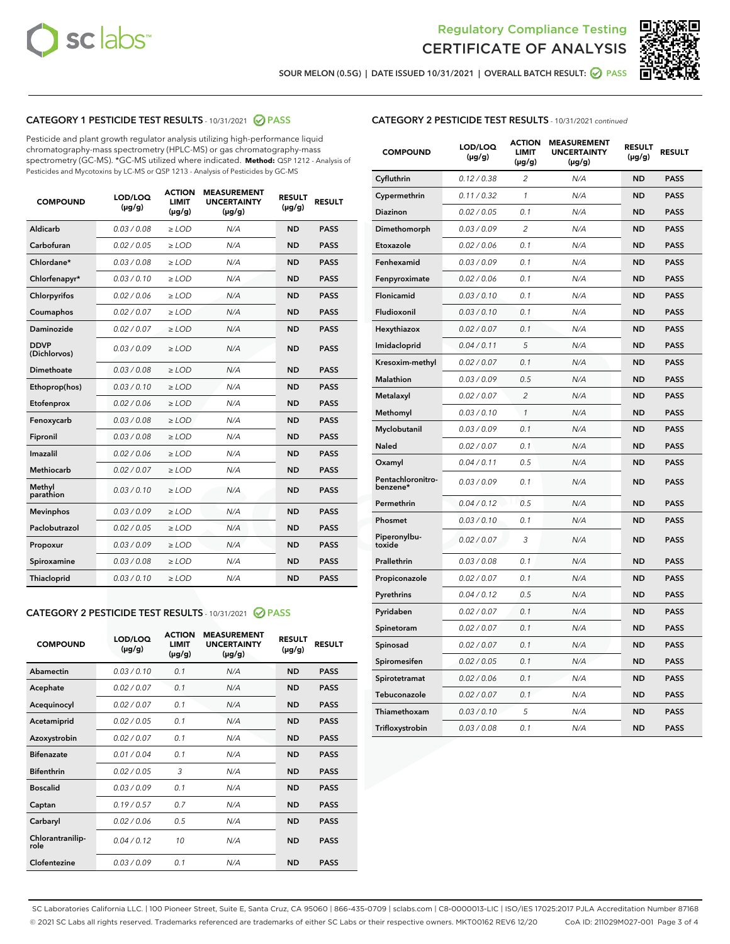



SOUR MELON (0.5G) | DATE ISSUED 10/31/2021 | OVERALL BATCH RESULT: 2 PASS

## CATEGORY 1 PESTICIDE TEST RESULTS - 10/31/2021 2 PASS

Pesticide and plant growth regulator analysis utilizing high-performance liquid chromatography-mass spectrometry (HPLC-MS) or gas chromatography-mass spectrometry (GC-MS). \*GC-MS utilized where indicated. **Method:** QSP 1212 - Analysis of Pesticides and Mycotoxins by LC-MS or QSP 1213 - Analysis of Pesticides by GC-MS

| <b>COMPOUND</b>             | LOD/LOQ<br>$(\mu g/g)$ | <b>ACTION</b><br><b>LIMIT</b><br>$(\mu g/g)$ | <b>MEASUREMENT</b><br><b>UNCERTAINTY</b><br>$(\mu g/g)$ | <b>RESULT</b><br>$(\mu g/g)$ | <b>RESULT</b> |
|-----------------------------|------------------------|----------------------------------------------|---------------------------------------------------------|------------------------------|---------------|
| Aldicarb                    | 0.03/0.08              | $>$ LOD                                      | N/A                                                     | <b>ND</b>                    | <b>PASS</b>   |
| Carbofuran                  | 0.02 / 0.05            | $\ge$ LOD                                    | N/A                                                     | <b>ND</b>                    | <b>PASS</b>   |
| Chlordane*                  | 0.03/0.08              | $>$ LOD                                      | N/A                                                     | <b>ND</b>                    | <b>PASS</b>   |
| Chlorfenapyr*               | 0.03/0.10              | $\ge$ LOD                                    | N/A                                                     | <b>ND</b>                    | <b>PASS</b>   |
| Chlorpyrifos                | 0.02 / 0.06            | $\ge$ LOD                                    | N/A                                                     | <b>ND</b>                    | <b>PASS</b>   |
| Coumaphos                   | 0.02 / 0.07            | $\ge$ LOD                                    | N/A                                                     | <b>ND</b>                    | <b>PASS</b>   |
| Daminozide                  | 0.02 / 0.07            | $\ge$ LOD                                    | N/A                                                     | <b>ND</b>                    | <b>PASS</b>   |
| <b>DDVP</b><br>(Dichlorvos) | 0.03/0.09              | $\ge$ LOD                                    | N/A                                                     | <b>ND</b>                    | <b>PASS</b>   |
| <b>Dimethoate</b>           | 0.03/0.08              | $\ge$ LOD                                    | N/A                                                     | <b>ND</b>                    | <b>PASS</b>   |
| Ethoprop(hos)               | 0.03/0.10              | $\ge$ LOD                                    | N/A                                                     | <b>ND</b>                    | <b>PASS</b>   |
| Etofenprox                  | 0.02 / 0.06            | $\ge$ LOD                                    | N/A                                                     | <b>ND</b>                    | <b>PASS</b>   |
| Fenoxycarb                  | 0.03 / 0.08            | $\ge$ LOD                                    | N/A                                                     | <b>ND</b>                    | <b>PASS</b>   |
| Fipronil                    | 0.03/0.08              | $>$ LOD                                      | N/A                                                     | <b>ND</b>                    | <b>PASS</b>   |
| Imazalil                    | 0.02 / 0.06            | $\ge$ LOD                                    | N/A                                                     | <b>ND</b>                    | <b>PASS</b>   |
| Methiocarb                  | 0.02 / 0.07            | $\ge$ LOD                                    | N/A                                                     | <b>ND</b>                    | <b>PASS</b>   |
| Methyl<br>parathion         | 0.03/0.10              | $\ge$ LOD                                    | N/A                                                     | <b>ND</b>                    | <b>PASS</b>   |
| <b>Mevinphos</b>            | 0.03/0.09              | $\ge$ LOD                                    | N/A                                                     | <b>ND</b>                    | <b>PASS</b>   |
| Paclobutrazol               | 0.02 / 0.05            | $>$ LOD                                      | N/A                                                     | <b>ND</b>                    | <b>PASS</b>   |
| Propoxur                    | 0.03/0.09              | $\ge$ LOD                                    | N/A                                                     | <b>ND</b>                    | <b>PASS</b>   |
| Spiroxamine                 | 0.03 / 0.08            | $\ge$ LOD                                    | N/A                                                     | <b>ND</b>                    | <b>PASS</b>   |
| Thiacloprid                 | 0.03/0.10              | $\ge$ LOD                                    | N/A                                                     | <b>ND</b>                    | <b>PASS</b>   |
|                             |                        |                                              |                                                         |                              |               |

#### CATEGORY 2 PESTICIDE TEST RESULTS - 10/31/2021 @ PASS

| <b>COMPOUND</b>          | LOD/LOQ<br>$(\mu g/g)$ | <b>ACTION</b><br><b>LIMIT</b><br>$(\mu g/g)$ | <b>MEASUREMENT</b><br><b>UNCERTAINTY</b><br>$(\mu g/g)$ | <b>RESULT</b><br>$(\mu g/g)$ | <b>RESULT</b> |
|--------------------------|------------------------|----------------------------------------------|---------------------------------------------------------|------------------------------|---------------|
| Abamectin                | 0.03/0.10              | 0.1                                          | N/A                                                     | <b>ND</b>                    | <b>PASS</b>   |
| Acephate                 | 0.02/0.07              | 0.1                                          | N/A                                                     | <b>ND</b>                    | <b>PASS</b>   |
| Acequinocyl              | 0.02/0.07              | 0.1                                          | N/A                                                     | <b>ND</b>                    | <b>PASS</b>   |
| Acetamiprid              | 0.02/0.05              | 0.1                                          | N/A                                                     | <b>ND</b>                    | <b>PASS</b>   |
| Azoxystrobin             | 0.02/0.07              | 0.1                                          | N/A                                                     | <b>ND</b>                    | <b>PASS</b>   |
| <b>Bifenazate</b>        | 0.01/0.04              | 0.1                                          | N/A                                                     | <b>ND</b>                    | <b>PASS</b>   |
| <b>Bifenthrin</b>        | 0.02 / 0.05            | 3                                            | N/A                                                     | <b>ND</b>                    | <b>PASS</b>   |
| <b>Boscalid</b>          | 0.03/0.09              | 0.1                                          | N/A                                                     | <b>ND</b>                    | <b>PASS</b>   |
| Captan                   | 0.19/0.57              | 0.7                                          | N/A                                                     | <b>ND</b>                    | <b>PASS</b>   |
| Carbaryl                 | 0.02/0.06              | 0.5                                          | N/A                                                     | <b>ND</b>                    | <b>PASS</b>   |
| Chlorantranilip-<br>role | 0.04/0.12              | 10                                           | N/A                                                     | <b>ND</b>                    | <b>PASS</b>   |
| Clofentezine             | 0.03/0.09              | 0.1                                          | N/A                                                     | <b>ND</b>                    | <b>PASS</b>   |

| <b>CATEGORY 2 PESTICIDE TEST RESULTS</b> - 10/31/2021 continued |  |  |
|-----------------------------------------------------------------|--|--|
|                                                                 |  |  |

| <b>COMPOUND</b>               | LOD/LOQ<br>(µg/g) | <b>ACTION</b><br><b>LIMIT</b><br>$(\mu g/g)$ | <b>MEASUREMENT</b><br><b>UNCERTAINTY</b><br>$(\mu g/g)$ | <b>RESULT</b><br>(µg/g) | <b>RESULT</b> |
|-------------------------------|-------------------|----------------------------------------------|---------------------------------------------------------|-------------------------|---------------|
| Cyfluthrin                    | 0.12 / 0.38       | 2                                            | N/A                                                     | <b>ND</b>               | <b>PASS</b>   |
| Cypermethrin                  | 0.11 / 0.32       | $\mathbf{1}$                                 | N/A                                                     | <b>ND</b>               | <b>PASS</b>   |
| Diazinon                      | 0.02 / 0.05       | 0.1                                          | N/A                                                     | <b>ND</b>               | <b>PASS</b>   |
| Dimethomorph                  | 0.03 / 0.09       | 2                                            | N/A                                                     | <b>ND</b>               | <b>PASS</b>   |
| Etoxazole                     | 0.02 / 0.06       | 0.1                                          | N/A                                                     | ND                      | <b>PASS</b>   |
| Fenhexamid                    | 0.03 / 0.09       | 0.1                                          | N/A                                                     | ND                      | <b>PASS</b>   |
| Fenpyroximate                 | 0.02 / 0.06       | 0.1                                          | N/A                                                     | <b>ND</b>               | <b>PASS</b>   |
| <b>Flonicamid</b>             | 0.03 / 0.10       | 0.1                                          | N/A                                                     | <b>ND</b>               | <b>PASS</b>   |
| Fludioxonil                   | 0.03 / 0.10       | 0.1                                          | N/A                                                     | <b>ND</b>               | <b>PASS</b>   |
| Hexythiazox                   | 0.02 / 0.07       | 0.1                                          | N/A                                                     | ND                      | <b>PASS</b>   |
| Imidacloprid                  | 0.04 / 0.11       | 5                                            | N/A                                                     | <b>ND</b>               | <b>PASS</b>   |
| Kresoxim-methyl               | 0.02 / 0.07       | 0.1                                          | N/A                                                     | ND                      | <b>PASS</b>   |
| <b>Malathion</b>              | 0.03 / 0.09       | 0.5                                          | N/A                                                     | <b>ND</b>               | <b>PASS</b>   |
| Metalaxyl                     | 0.02 / 0.07       | $\overline{2}$                               | N/A                                                     | <b>ND</b>               | <b>PASS</b>   |
| Methomyl                      | 0.03 / 0.10       | $\mathbf{1}$                                 | N/A                                                     | <b>ND</b>               | <b>PASS</b>   |
| Myclobutanil                  | 0.03 / 0.09       | 0.1                                          | N/A                                                     | <b>ND</b>               | <b>PASS</b>   |
| Naled                         | 0.02 / 0.07       | 0.1                                          | N/A                                                     | ND                      | <b>PASS</b>   |
| Oxamyl                        | 0.04 / 0.11       | 0.5                                          | N/A                                                     | ND                      | <b>PASS</b>   |
| Pentachloronitro-<br>benzene* | 0.03 / 0.09       | 0.1                                          | N/A                                                     | <b>ND</b>               | <b>PASS</b>   |
| Permethrin                    | 0.04 / 0.12       | 0.5                                          | N/A                                                     | ND                      | <b>PASS</b>   |
| Phosmet                       | 0.03 / 0.10       | 0.1                                          | N/A                                                     | <b>ND</b>               | <b>PASS</b>   |
| Piperonylbu-<br>toxide        | 0.02 / 0.07       | 3                                            | N/A                                                     | <b>ND</b>               | <b>PASS</b>   |
| Prallethrin                   | 0.03 / 0.08       | 0.1                                          | N/A                                                     | <b>ND</b>               | <b>PASS</b>   |
| Propiconazole                 | 0.02 / 0.07       | 0.1                                          | N/A                                                     | <b>ND</b>               | <b>PASS</b>   |
| Pyrethrins                    | 0.04 / 0.12       | 0.5                                          | N/A                                                     | ND                      | <b>PASS</b>   |
| Pyridaben                     | 0.02 / 0.07       | 0.1                                          | N/A                                                     | ND                      | <b>PASS</b>   |
| Spinetoram                    | 0.02 / 0.07       | 0.1                                          | N/A                                                     | <b>ND</b>               | <b>PASS</b>   |
| Spinosad                      | 0.02 / 0.07       | 0.1                                          | N/A                                                     | ND                      | <b>PASS</b>   |
| Spiromesifen                  | 0.02 / 0.05       | 0.1                                          | N/A                                                     | ND                      | <b>PASS</b>   |
| Spirotetramat                 | 0.02 / 0.06       | 0.1                                          | N/A                                                     | <b>ND</b>               | <b>PASS</b>   |
| Tebuconazole                  | 0.02 / 0.07       | 0.1                                          | N/A                                                     | ND                      | <b>PASS</b>   |
| Thiamethoxam                  | 0.03 / 0.10       | 5                                            | N/A                                                     | <b>ND</b>               | <b>PASS</b>   |
| Trifloxystrobin               | 0.03 / 0.08       | 0.1                                          | N/A                                                     | <b>ND</b>               | <b>PASS</b>   |

SC Laboratories California LLC. | 100 Pioneer Street, Suite E, Santa Cruz, CA 95060 | 866-435-0709 | sclabs.com | C8-0000013-LIC | ISO/IES 17025:2017 PJLA Accreditation Number 87168 © 2021 SC Labs all rights reserved. Trademarks referenced are trademarks of either SC Labs or their respective owners. MKT00162 REV6 12/20 CoA ID: 211029M027-001 Page 3 of 4